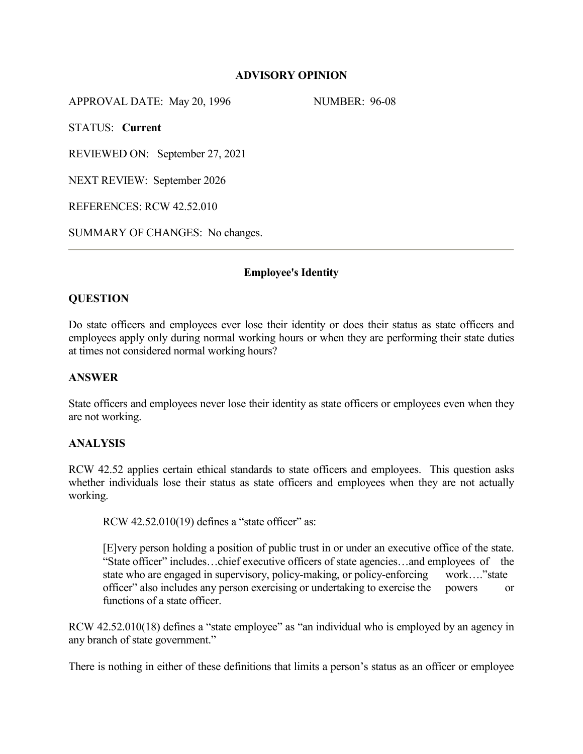## **ADVISORY OPINION**

APPROVAL DATE: May 20, 1996 NUMBER: 96-08

STATUS: **Current**

REVIEWED ON: September 27, 2021

NEXT REVIEW: September 2026

REFERENCES: RCW 42.52.010

SUMMARY OF CHANGES: No changes.

## **Employee's Identity**

# **QUESTION**

Do state officers and employees ever lose their identity or does their status as state officers and employees apply only during normal working hours or when they are performing their state duties at times not considered normal working hours?

## **ANSWER**

State officers and employees never lose their identity as state officers or employees even when they are not working.

## **ANALYSIS**

RCW 42.52 applies certain ethical standards to state officers and employees. This question asks whether individuals lose their status as state officers and employees when they are not actually working.

RCW 42.52.010(19) defines a "state officer" as:

[E]very person holding a position of public trust in or under an executive office of the state. "State officer" includes…chief executive officers of state agencies…and employees of the state who are engaged in supervisory, policy-making, or policy-enforcing work...."state officer" also includes any person exercising or undertaking to exercise the powers or functions of a state officer.

RCW 42.52.010(18) defines a "state employee" as "an individual who is employed by an agency in any branch of state government."

There is nothing in either of these definitions that limits a person's status as an officer or employee